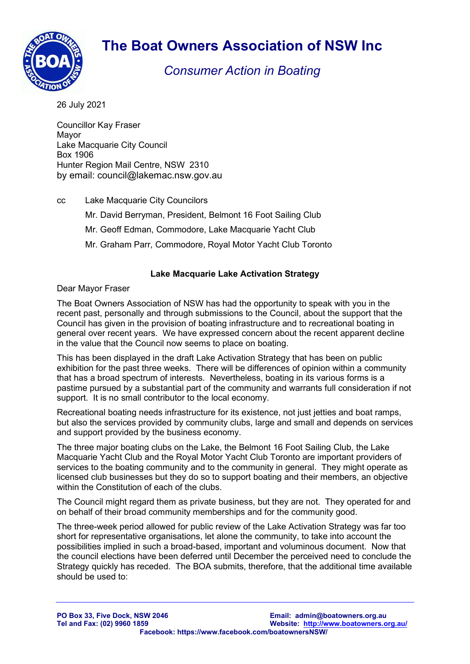

## The Boat Owners Association of NSW Inc

Consumer Action in Boating

26 July 2021

Councillor Kay Fraser Mayor Lake Macquarie City Council Box 1906 Hunter Region Mail Centre, NSW 2310 by email: council@lakemac.nsw.gov.au

- cc Lake Macquarie City Councilors
	- Mr. David Berryman, President, Belmont 16 Foot Sailing Club
	- Mr. Geoff Edman, Commodore, Lake Macquarie Yacht Club
	- Mr. Graham Parr, Commodore, Royal Motor Yacht Club Toronto

## Lake Macquarie Lake Activation Strategy

Dear Mayor Fraser

The Boat Owners Association of NSW has had the opportunity to speak with you in the recent past, personally and through submissions to the Council, about the support that the Council has given in the provision of boating infrastructure and to recreational boating in general over recent years. We have expressed concern about the recent apparent decline in the value that the Council now seems to place on boating.

This has been displayed in the draft Lake Activation Strategy that has been on public exhibition for the past three weeks. There will be differences of opinion within a community that has a broad spectrum of interests. Nevertheless, boating in its various forms is a pastime pursued by a substantial part of the community and warrants full consideration if not support. It is no small contributor to the local economy.

Recreational boating needs infrastructure for its existence, not just jetties and boat ramps, but also the services provided by community clubs, large and small and depends on services and support provided by the business economy.

The three major boating clubs on the Lake, the Belmont 16 Foot Sailing Club, the Lake Macquarie Yacht Club and the Royal Motor Yacht Club Toronto are important providers of services to the boating community and to the community in general. They might operate as licensed club businesses but they do so to support boating and their members, an objective within the Constitution of each of the clubs.

The Council might regard them as private business, but they are not. They operated for and on behalf of their broad community memberships and for the community good.

The three-week period allowed for public review of the Lake Activation Strategy was far too short for representative organisations, let alone the community, to take into account the possibilities implied in such a broad-based, important and voluminous document. Now that the council elections have been deferred until December the perceived need to conclude the Strategy quickly has receded. The BOA submits, therefore, that the additional time available should be used to: